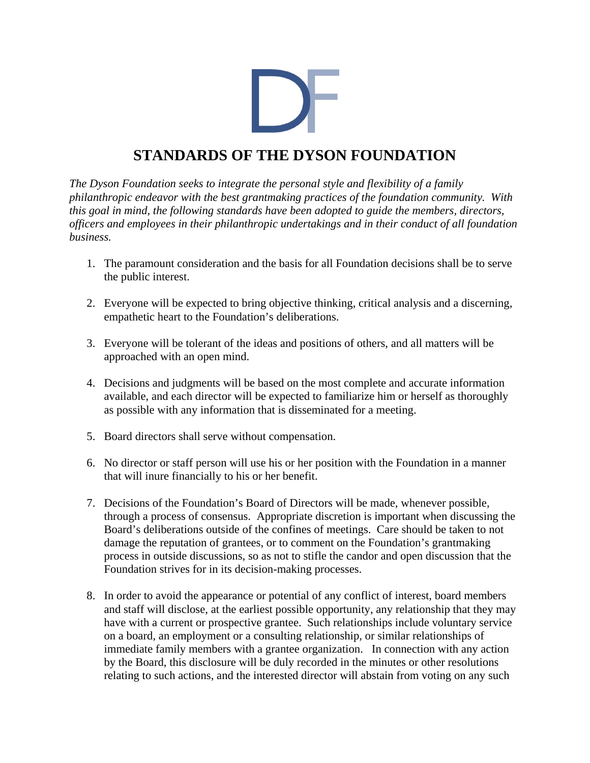

## **STANDARDS OF THE DYSON FOUNDATION**

*The Dyson Foundation seeks to integrate the personal style and flexibility of a family philanthropic endeavor with the best grantmaking practices of the foundation community. With this goal in mind, the following standards have been adopted to guide the members, directors, officers and employees in their philanthropic undertakings and in their conduct of all foundation business.* 

- 1. The paramount consideration and the basis for all Foundation decisions shall be to serve the public interest.
- 2. Everyone will be expected to bring objective thinking, critical analysis and a discerning, empathetic heart to the Foundation's deliberations.
- 3. Everyone will be tolerant of the ideas and positions of others, and all matters will be approached with an open mind.
- 4. Decisions and judgments will be based on the most complete and accurate information available, and each director will be expected to familiarize him or herself as thoroughly as possible with any information that is disseminated for a meeting.
- 5. Board directors shall serve without compensation.
- 6. No director or staff person will use his or her position with the Foundation in a manner that will inure financially to his or her benefit.
- 7. Decisions of the Foundation's Board of Directors will be made, whenever possible, through a process of consensus. Appropriate discretion is important when discussing the Board's deliberations outside of the confines of meetings. Care should be taken to not damage the reputation of grantees, or to comment on the Foundation's grantmaking process in outside discussions, so as not to stifle the candor and open discussion that the Foundation strives for in its decision-making processes.
- 8. In order to avoid the appearance or potential of any conflict of interest, board members and staff will disclose, at the earliest possible opportunity, any relationship that they may have with a current or prospective grantee. Such relationships include voluntary service on a board, an employment or a consulting relationship, or similar relationships of immediate family members with a grantee organization. In connection with any action by the Board, this disclosure will be duly recorded in the minutes or other resolutions relating to such actions, and the interested director will abstain from voting on any such